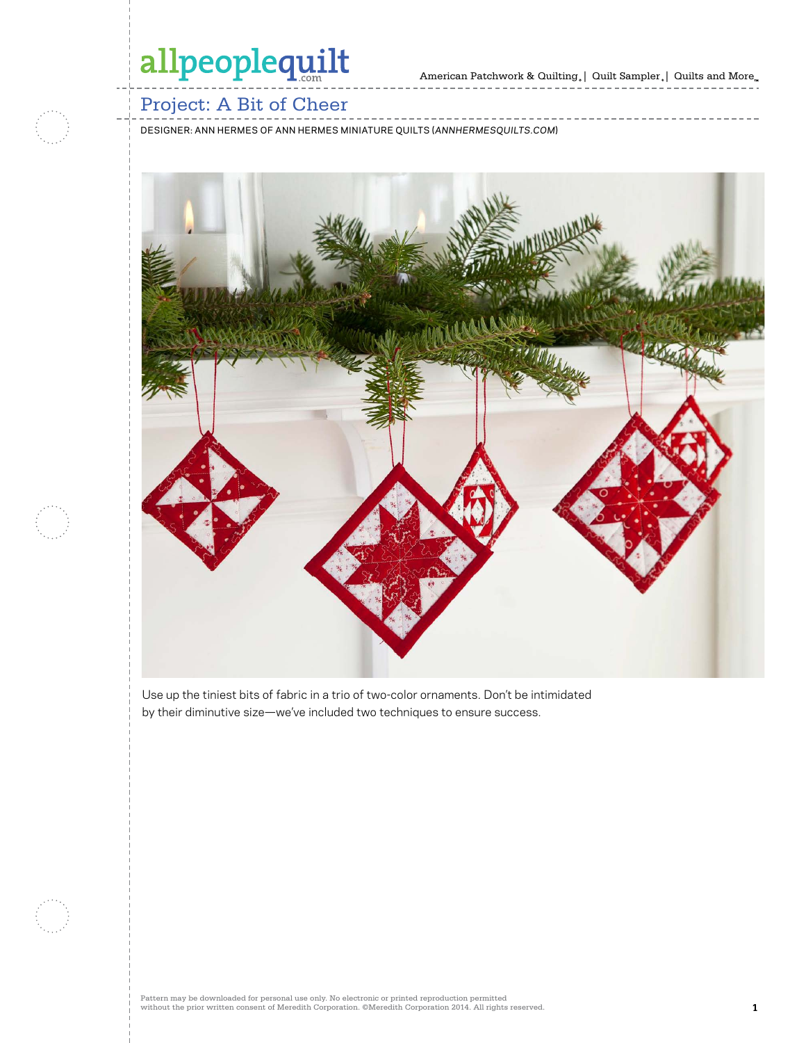American Patchwork & Quilting  $_{\circ} \, | \,$  Quilt Sampler  $_{\circ} \, | \,$  Quilts and More  $_{\circ} \,$ 



### Project: A Bit of Cheer

DESIGNER: ANN HERMES OF ANN HERMES MINIATURE QUILTS (*ANNHERMESQUILTS.COM*)



Use up the tiniest bits of fabric in a trio of two-color ornaments. Don't be intimidated by their diminutive size—we've included two techniques to ensure success.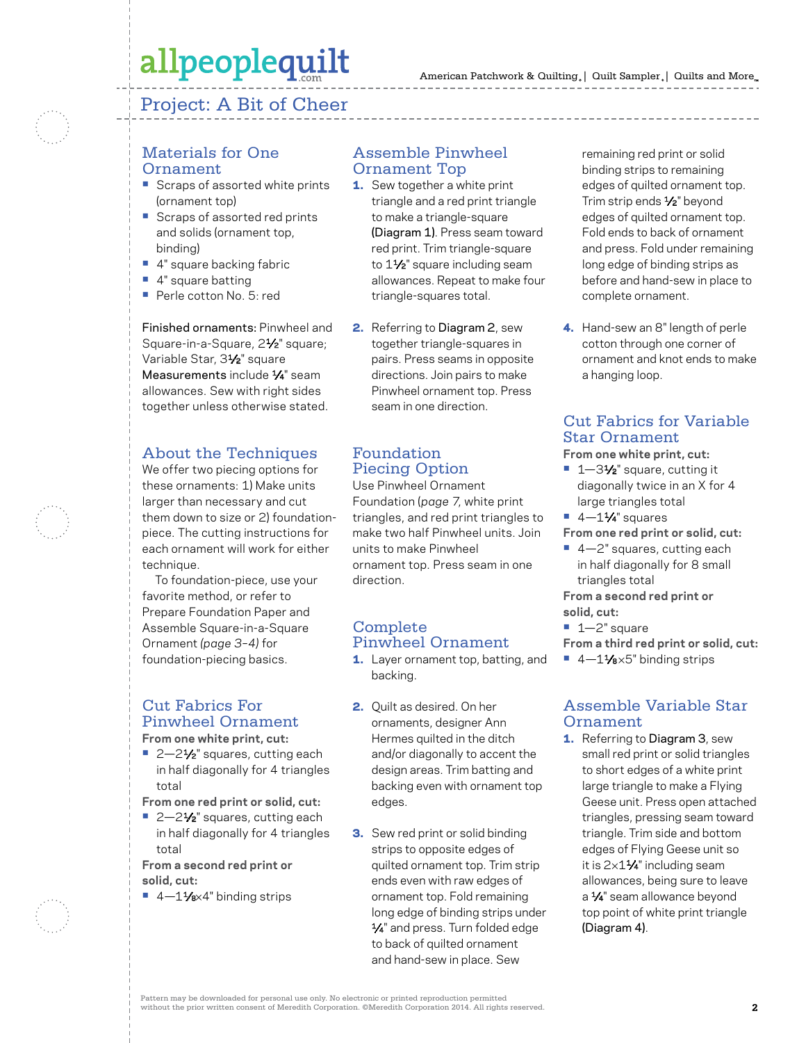### Project: A Bit of Cheer

#### Materials for One Ornament

- **•** Scraps of assorted white prints (ornament top)
- **•** Scraps of assorted red prints and solids (ornament top, binding)
- **•** 4" square backing fabric
- **•** 4" square batting
- **•** Perle cotton No. 5: red

Finished ornaments: Pinwheel and Square-in-a-Square, 21⁄2" square; Variable Star, 31⁄2" square Measurements include 1/4" seam allowances. Sew with right sides together unless otherwise stated.

#### About the Techniques

We offer two piecing options for these ornaments: 1) Make units larger than necessary and cut them down to size or 2) foundationpiece. The cutting instructions for each ornament will work for either technique.

To foundation-piece, use your favorite method, or refer to Prepare Foundation Paper and Assemble Square-in-a-Square Ornament *(page 3–4)* for foundation-piecing basics.

#### Cut Fabrics For Pinwheel Ornament **From one white print, cut:**

- 2–2<sup>1</sup>⁄<sub>2</sub>" squares, cutting each in half diagonally for 4 triangles total
- **From one red print or solid, cut:**
- 2-2<sup>1</sup>/<sub>2</sub>" squares, cutting each in half diagonally for 4 triangles total

**From a second red print or solid, cut:**

■ 4–11⁄<sub>8×4</sub>" binding strips

#### Assemble Pinwheel Ornament Top

- 1. Sew together a white print triangle and a red print triangle to make a triangle-square (Diagram 1). Press seam toward red print. Trim triangle-square to 1<sup>1/2</sup> square including seam allowances. Repeat to make four triangle-squares total.
- 2. Referring to Diagram 2, sew together triangle-squares in pairs. Press seams in opposite directions. Join pairs to make Pinwheel ornament top. Press seam in one direction.

#### Foundation Piecing Option

Use Pinwheel Ornament Foundation (*page 7*, white print triangles, and red print triangles to make two half Pinwheel units. Join units to make Pinwheel ornament top. Press seam in one direction.

#### Complete Pinwheel Ornament

- 1. Layer ornament top, batting, and backing.
- 2. Quilt as desired. On her ornaments, designer Ann Hermes quilted in the ditch and/or diagonally to accent the design areas. Trim batting and backing even with ornament top edges.
- **3.** Sew red print or solid binding strips to opposite edges of quilted ornament top. Trim strip ends even with raw edges of ornament top. Fold remaining long edge of binding strips under 1⁄4" and press. Turn folded edge to back of quilted ornament and hand-sew in place. Sew

remaining red print or solid binding strips to remaining edges of quilted ornament top. Trim strip ends 1/<sub>2</sub>" beyond edges of quilted ornament top. Fold ends to back of ornament and press. Fold under remaining long edge of binding strips as before and hand-sew in place to complete ornament.

4. Hand-sew an 8" length of perle cotton through one corner of ornament and knot ends to make a hanging loop.

### Cut Fabrics for Variable Star Ornament

**From one white print, cut:**

- 1–3½" square, cutting it diagonally twice in an X for 4 large triangles total
- **•** 4—11⁄4" squares

**From one red print or solid, cut:**

**•** 4—2" squares, cutting each in half diagonally for 8 small triangles total

**From a second red print or solid, cut:**

**•** 1—2" square

**From a third red print or solid, cut:**

■ 4-11⁄8×5" binding strips

#### Assemble Variable Star Ornament

1. Referring to Diagram 3, sew small red print or solid triangles to short edges of a white print large triangle to make a Flying Geese unit. Press open attached triangles, pressing seam toward triangle. Trim side and bottom edges of Flying Geese unit so it is  $2\times1\frac{1}{4}$ " including seam allowances, being sure to leave a 1/4" seam allowance beyond top point of white print triangle (Diagram 4).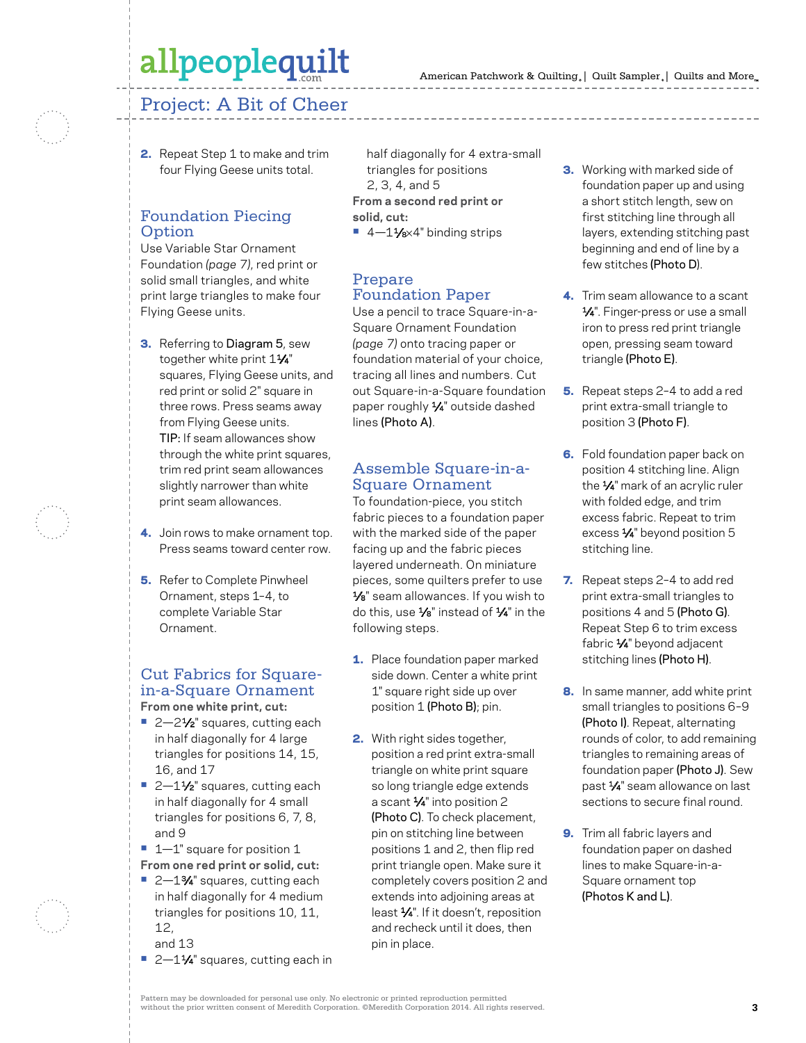### Project: A Bit of Cheer

2. Repeat Step 1 to make and trim four Flying Geese units total.

#### Foundation Piecing Option

Use Variable Star Ornament Foundation *(page 7)*, red print or solid small triangles, and white print large triangles to make four Flying Geese units.

- **3.** Referring to Diagram 5, sew together white print  $1\frac{1}{4}$ " squares, Flying Geese units, and red print or solid 2" square in three rows. Press seams away from Flying Geese units. TIP: If seam allowances show through the white print squares, trim red print seam allowances slightly narrower than white print seam allowances.
- 4. Join rows to make ornament top. Press seams toward center row.
- **5.** Refer to Complete Pinwheel Ornament, steps 1–4, to complete Variable Star Ornament.

#### Cut Fabrics for Squarein-a-Square Ornament **From one white print, cut:**

- 2–2<sup>1</sup>⁄<sub>2</sub>" squares, cutting each in half diagonally for 4 large triangles for positions 14, 15, 16, and 17
- 2-1½<sup>"</sup> squares, cutting each in half diagonally for 4 small triangles for positions 6, 7, 8, and 9
- **•** 1—1" square for position 1 **From one red print or solid, cut:**
- 2-1<sup>3</sup>⁄4" squares, cutting each in half diagonally for 4 medium triangles for positions 10, 11, 12,
	- and 13
- 2–11⁄4" squares, cutting each in

half diagonally for 4 extra-small triangles for positions 2, 3, 4, and 5 **From a second red print or solid, cut:** ■ 4-11⁄8×4" binding strips

#### Prepare Foundation Paper

Use a pencil to trace Square-in-a-Square Ornament Foundation *(page 7)* onto tracing paper or foundation material of your choice, tracing all lines and numbers. Cut out Square-in-a-Square foundation paper roughly 1⁄4" outside dashed lines (Photo A).

#### Assemble Square-in-a-Square Ornament

To foundation-piece, you stitch fabric pieces to a foundation paper with the marked side of the paper facing up and the fabric pieces layered underneath. On miniature pieces, some quilters prefer to use 1⁄8" seam allowances. If you wish to do this, use 1⁄8" instead of 1⁄4" in the following steps.

- 1. Place foundation paper marked side down. Center a white print 1" square right side up over position 1 (Photo B); pin.
- 2. With right sides together, position a red print extra-small triangle on white print square so long triangle edge extends a scant 1⁄4" into position 2 (Photo C). To check placement, pin on stitching line between positions 1 and 2, then flip red print triangle open. Make sure it completely covers position 2 and extends into adjoining areas at least 1⁄4". If it doesn't, reposition and recheck until it does, then pin in place.
- **3.** Working with marked side of foundation paper up and using a short stitch length, sew on first stitching line through all layers, extending stitching past beginning and end of line by a few stitches (Photo D).
- 4. Trim seam allowance to a scant 1⁄4". Finger-press or use a small iron to press red print triangle open, pressing seam toward triangle (Photo E).
- 5. Repeat steps 2-4 to add a red print extra-small triangle to position 3 (Photo F).
- **6.** Fold foundation paper back on position 4 stitching line. Align the 1⁄4" mark of an acrylic ruler with folded edge, and trim excess fabric. Repeat to trim excess 1⁄4" beyond position 5 stitching line.
- 7. Repeat steps 2-4 to add red print extra-small triangles to positions 4 and 5 (Photo G). Repeat Step 6 to trim excess fabric 1⁄4" beyond adjacent stitching lines (Photo H).
- 8. In same manner, add white print small triangles to positions 6–9 (Photo I). Repeat, alternating rounds of color, to add remaining triangles to remaining areas of foundation paper (Photo J). Sew past 1⁄4" seam allowance on last sections to secure final round.
- 9. Trim all fabric layers and foundation paper on dashed lines to make Square-in-a-Square ornament top (Photos K and L).

Pattern may be downloaded for personal use only. No electronic or printed reproduction permitted without the prior written consent of Meredith Corporation. ©Meredith Corporation 2014. All rights reserved. **3**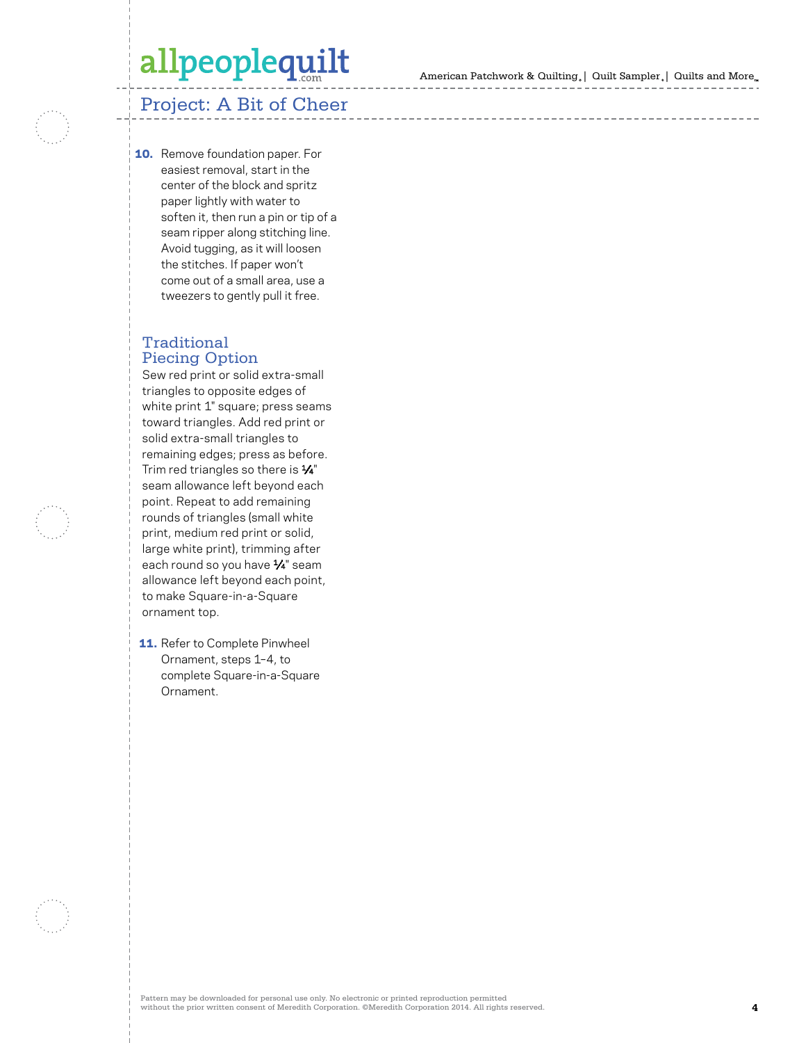American Patchwork & Quilting | Quilt Sampler | Quilts and More

### Project: A Bit of Cheer

**10.** Remove foundation paper. For easiest removal, start in the center of the block and spritz paper lightly with water to soften it, then run a pin or tip of a seam ripper along stitching line. Avoid tugging, as it will loosen the stitches. If paper won't come out of a small area, use a tweezers to gently pull it free.

#### Traditional Piecing Option

Sew red print or solid extra-small triangles to opposite edges of white print 1" square; press seams toward triangles. Add red print or solid extra-small triangles to remaining edges; press as before. Trim red triangles so there is 1⁄4" seam allowance left beyond each point. Repeat to add remaining rounds of triangles (small white print, medium red print or solid, large white print), trimming after each round so you have 1⁄4" seam allowance left beyond each point, to make Square-in-a-Square ornament top.

**11.** Refer to Complete Pinwheel Ornament, steps 1–4, to complete Square-in-a-Square Ornament.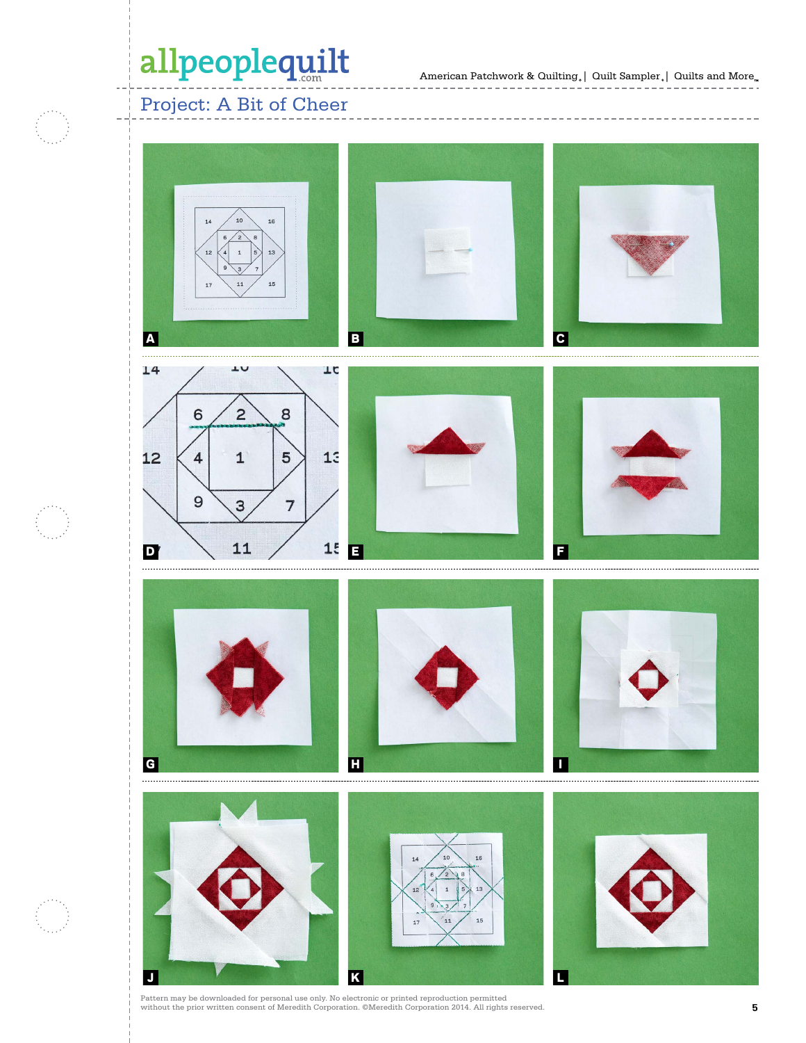American Patchwork & Quilting,  $\mid \text{ Quilt Sample}_* \mid \text{ Quilts}$  and  $\text{More}_*$ 

Project: A Bit of Cheer



Pattern may be downloaded for personal use only. No electronic or printed reproduction permitted without the prior written consent of Meredith Corporation. ©Meredith Corporation 2014. All rights reserved.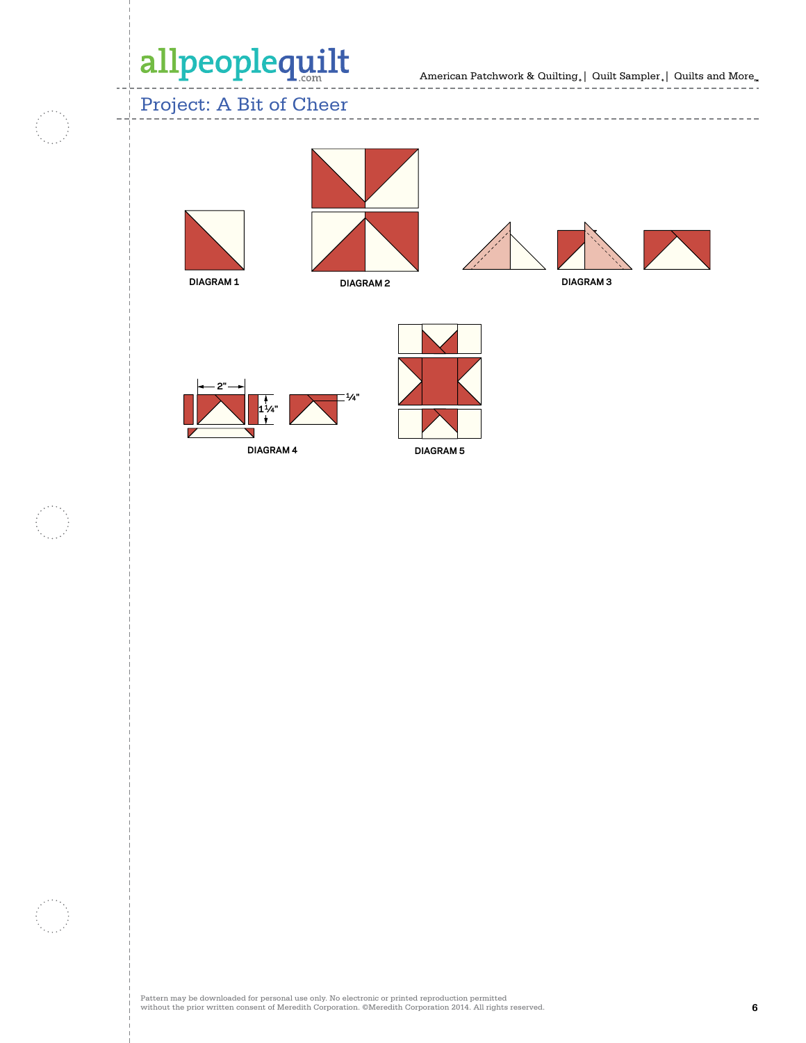American Patchwork & Quilting  $_{\circ} \, | \,$  Quilt Sampler  $_{\circ} \, | \,$  Quilts and More  $_{\circ \circ}$ 

------------------

 $- - - -$ 

**APQ DECEMBER 2012**

### Project: A Bit of Cheer



Ō,











---------------